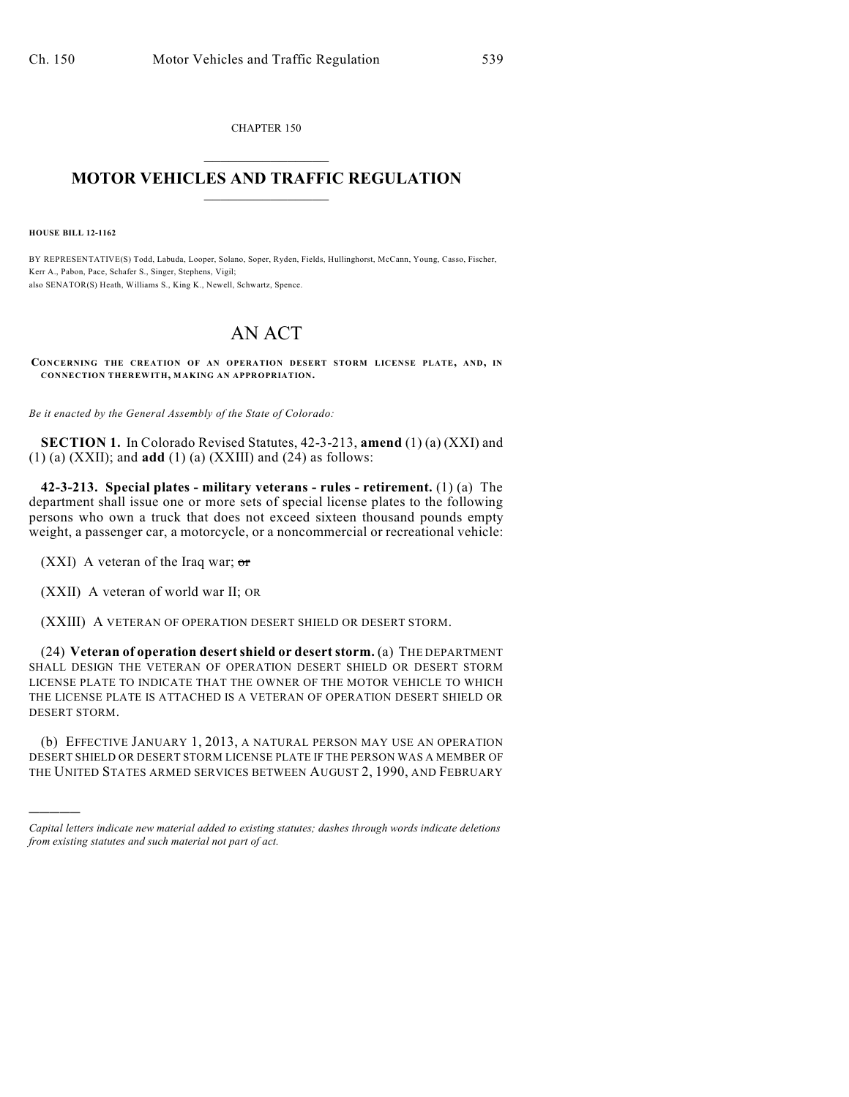CHAPTER 150  $\overline{\phantom{a}}$  . The set of the set of the set of the set of the set of the set of the set of the set of the set of the set of the set of the set of the set of the set of the set of the set of the set of the set of the set o

## **MOTOR VEHICLES AND TRAFFIC REGULATION**  $\frac{1}{2}$  ,  $\frac{1}{2}$  ,  $\frac{1}{2}$  ,  $\frac{1}{2}$  ,  $\frac{1}{2}$  ,  $\frac{1}{2}$  ,  $\frac{1}{2}$

**HOUSE BILL 12-1162**

)))))

BY REPRESENTATIVE(S) Todd, Labuda, Looper, Solano, Soper, Ryden, Fields, Hullinghorst, McCann, Young, Casso, Fischer, Kerr A., Pabon, Pace, Schafer S., Singer, Stephens, Vigil; also SENATOR(S) Heath, Williams S., King K., Newell, Schwartz, Spence.

## AN ACT

**CONCERNING THE CREATION OF AN OPERATION DESERT STORM LICENSE PLATE, AND, IN CONNECTION THEREWITH, MAKING AN APPROPRIATION.**

*Be it enacted by the General Assembly of the State of Colorado:*

**SECTION 1.** In Colorado Revised Statutes, 42-3-213, **amend** (1) (a) (XXI) and (1) (a) (XXII); and **add** (1) (a) (XXIII) and (24) as follows:

**42-3-213. Special plates - military veterans - rules - retirement.** (1) (a) The department shall issue one or more sets of special license plates to the following persons who own a truck that does not exceed sixteen thousand pounds empty weight, a passenger car, a motorcycle, or a noncommercial or recreational vehicle:

(XXI) A veteran of the Iraq war;  $\sigma$ r

(XXII) A veteran of world war II; OR

(XXIII) A VETERAN OF OPERATION DESERT SHIELD OR DESERT STORM.

(24) **Veteran of operation desertshield or desert storm.** (a) THE DEPARTMENT SHALL DESIGN THE VETERAN OF OPERATION DESERT SHIELD OR DESERT STORM LICENSE PLATE TO INDICATE THAT THE OWNER OF THE MOTOR VEHICLE TO WHICH THE LICENSE PLATE IS ATTACHED IS A VETERAN OF OPERATION DESERT SHIELD OR DESERT STORM.

(b) EFFECTIVE JANUARY 1, 2013, A NATURAL PERSON MAY USE AN OPERATION DESERT SHIELD OR DESERT STORM LICENSE PLATE IF THE PERSON WAS A MEMBER OF THE UNITED STATES ARMED SERVICES BETWEEN AUGUST 2, 1990, AND FEBRUARY

*Capital letters indicate new material added to existing statutes; dashes through words indicate deletions from existing statutes and such material not part of act.*